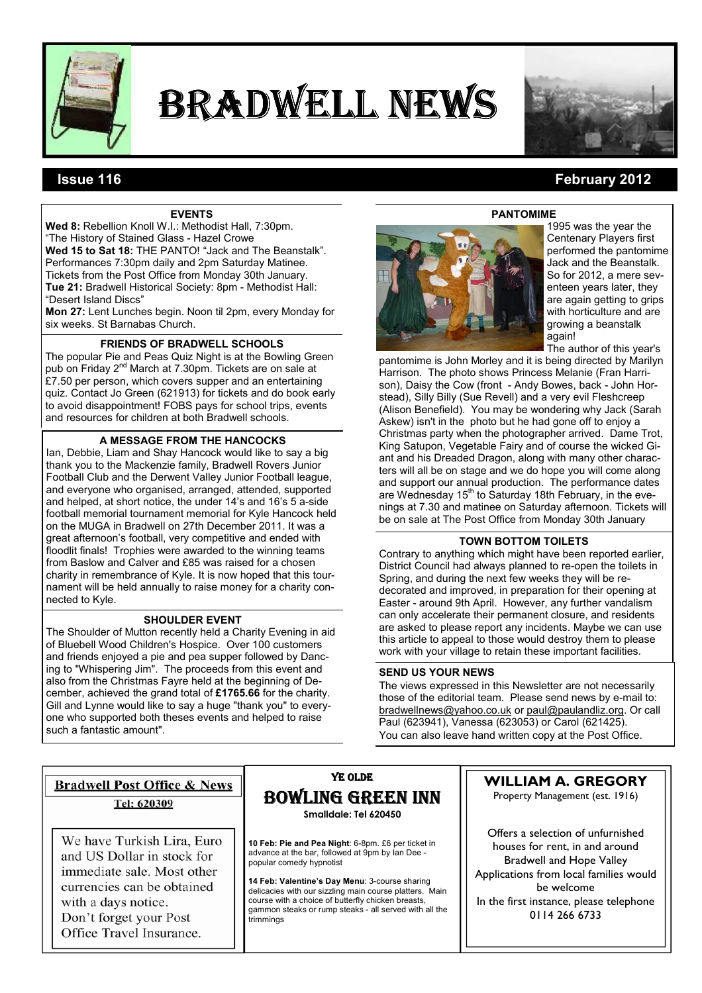

# BRADWELL NEWS



# **EVENTS**

Wed 8: Rebellion Knoll W.I.: Methodist Hall, 7:30pm. "The History of Stained Glass - Hazel Crowe Wed 15 to Sat 18: THE PANTO! "Jack and The Beanstalk". Performances 7:30pm daily and 2pm Saturday Matinee. Tickets from the Post Office from Monday 30th January. Tue 21: Bradwell Historical Society: 8pm - Methodist Hall: "Desert Island Discs"

Mon 27: Lent Lunches begin. Noon til 2pm, every Monday for six weeks. St Barnabas Church.

# FRIENDS OF BRADWELL SCHOOLS

The popular Pie and Peas Quiz Night is at the Bowling Green pub on Friday 2nd March at 7.30pm. Tickets are on sale at £7.50 per person, which covers supper and an entertaining quiz. Contact Jo Green (621913) for tickets and do book early to avoid disappointment! FOBS pays for school trips, events and resources for children at both Bradwell schools.

# A MESSAGE FROM THE HANCOCKS

Ian, Debbie, Liam and Shay Hancock would like to say a big thank you to the Mackenzie family, Bradwell Rovers Junior Football Club and the Derwent Valley Junior Football league, and everyone who organised, arranged, attended, supported and helped, at short notice, the under 14's and 16's 5 a-side football memorial tournament memorial for Kyle Hancock held on the MUGA in Bradwell on 27th December 2011. It was a great afternoon's football, very competitive and ended with floodlit finals! Trophies were awarded to the winning teams from Baslow and Calver and £85 was raised for a chosen charity in remembrance of Kyle. It is now hoped that this tournament will be held annually to raise money for a charity connected to Kyle.

## SHOULDER EVENT

The Shoulder of Mutton recently held a Charity Evening in aid of Bluebell Wood Children's Hospice. Over 100 customers and friends enjoyed a pie and pea supper followed by Dancing to "Whispering Jim". The proceeds from this event and also from the Christmas Fayre held at the beginning of December, achieved the grand total of £1765.66 for the charity. Gill and Lynne would like to say a huge "thank you" to everyone who supported both theses events and helped to raise such a fantastic amount".

PANTOMIME 1995 was the year the Centenary Players first performed the pantomime Jack and the Beanstalk. So for 2012, a mere seventeen years later, they are again getting to grips with horticulture and are growing a beanstalk

> again! The author of this year's

pantomime is John Morley and it is being directed by Marilyn Harrison. The photo shows Princess Melanie (Fran Harrison), Daisy the Cow (front - Andy Bowes, back - John Horstead), Silly Billy (Sue Revell) and a very evil Fleshcreep (Alison Benefield). You may be wondering why Jack (Sarah Askew) isn't in the photo but he had gone off to enjoy a Christmas party when the photographer arrived. Dame Trot, King Satupon, Vegetable Fairy and of course the wicked Giant and his Dreaded Dragon, along with many other characters will all be on stage and we do hope you will come along and support our annual production. The performance dates are Wednesday  $15<sup>th</sup>$  to Saturday 18th February, in the evenings at 7.30 and matinee on Saturday afternoon. Tickets will be on sale at The Post Office from Monday 30th January

# TOWN BOTTOM TOILETS

Contrary to anything which might have been reported earlier, District Council had always planned to re-open the toilets in Spring, and during the next few weeks they will be redecorated and improved, in preparation for their opening at Easter - around 9th April. However, any further vandalism can only accelerate their permanent closure, and residents are asked to please report any incidents. Maybe we can use this article to appeal to those would destroy them to please work with your village to retain these important facilities.

## SEND US YOUR NEWS

The views expressed in this Newsletter are not necessarily those of the editorial team. Please send news by e-mail to: bradwellnews@yahoo.co.uk or paul@paulandliz.org. Or call Paul (623941), Vanessa (623053) or Carol (621425). You can also leave hand written copy at the Post Office.

# **Bradwell Post Office & News** Tel: 620309

We have Turkish Lira, Euro and US Dollar in stock for immediate sale. Most other currencies can be obtained with a days notice. Don't forget your Post Office Travel Insurance.

# YE OLDE BOWLING GREEN INN

Smalldale: Tel 620450

10 Feb: Pie and Pea Night: 6-8pm. £6 per ticket in advance at the bar, followed at 9pm by Ian Dee popular comedy hypnotist

14 Feb: Valentine's Day Menu: 3-course sharing delicacies with our sizzling main course platters. Main course with a choice of butterfly chicken breasts, gammon steaks or rump steaks - all served with all the trimmings

# WILLIAM A. GREGORY

Property Management (est. 1916)

Offers a selection of unfurnished houses for rent, in and around Bradwell and Hope Valley Applications from local families would be welcome In the first instance, please telephone 0114 266 6733

# Issue 116 February 2012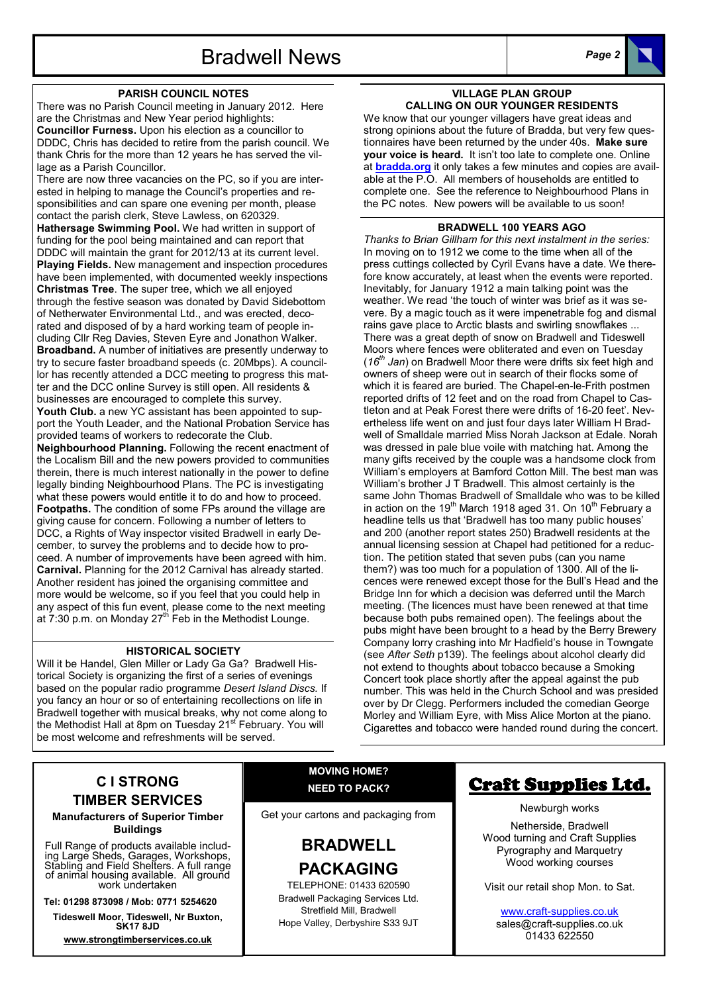#### PARISH COUNCIL NOTES

There was no Parish Council meeting in January 2012. Here are the Christmas and New Year period highlights: Councillor Furness. Upon his election as a councillor to DDDC, Chris has decided to retire from the parish council. We thank Chris for the more than 12 years he has served the village as a Parish Councillor.

There are now three vacancies on the PC, so if you are interested in helping to manage the Council's properties and responsibilities and can spare one evening per month, please contact the parish clerk, Steve Lawless, on 620329. Hathersage Swimming Pool. We had written in support of funding for the pool being maintained and can report that DDDC will maintain the grant for 2012/13 at its current level. Playing Fields. New management and inspection procedures have been implemented, with documented weekly inspections Christmas Tree. The super tree, which we all enjoyed through the festive season was donated by David Sidebottom of Netherwater Environmental Ltd., and was erected, decorated and disposed of by a hard working team of people including Cllr Reg Davies, Steven Eyre and Jonathon Walker. Broadband. A number of initiatives are presently underway to try to secure faster broadband speeds (c. 20Mbps). A councillor has recently attended a DCC meeting to progress this matter and the DCC online Survey is still open. All residents & businesses are encouraged to complete this survey. Youth Club. a new YC assistant has been appointed to support the Youth Leader, and the National Probation Service has provided teams of workers to redecorate the Club. Neighbourhood Planning. Following the recent enactment of the Localism Bill and the new powers provided to communities therein, there is much interest nationally in the power to define legally binding Neighbourhood Plans. The PC is investigating what these powers would entitle it to do and how to proceed. Footpaths. The condition of some FPs around the village are giving cause for concern. Following a number of letters to DCC, a Rights of Way inspector visited Bradwell in early December, to survey the problems and to decide how to proceed. A number of improvements have been agreed with him. Carnival. Planning for the 2012 Carnival has already started. Another resident has joined the organising committee and more would be welcome, so if you feel that you could help in any aspect of this fun event, please come to the next meeting at  $7:30$  p.m. on Monday  $27<sup>th</sup>$  Feb in the Methodist Lounge.

# HISTORICAL SOCIETY

Will it be Handel, Glen Miller or Lady Ga Ga? Bradwell Historical Society is organizing the first of a series of evenings based on the popular radio programme Desert Island Discs. If you fancy an hour or so of entertaining recollections on life in Bradwell together with musical breaks, why not come along to the Methodist Hall at 8pm on Tuesday 21<sup>st</sup> February. You will be most welcome and refreshments will be served.

#### VILLAGE PLAN GROUP CALLING ON OUR YOUNGER RESIDENTS

We know that our younger villagers have great ideas and strong opinions about the future of Bradda, but very few questionnaires have been returned by the under 40s. Make sure your voice is heard. It isn't too late to complete one. Online at **bradda.org** it only takes a few minutes and copies are available at the P.O. All members of households are entitled to complete one. See the reference to Neighbourhood Plans in the PC notes. New powers will be available to us soon!

#### BRADWELL 100 YEARS AGO

Thanks to Brian Gillham for this next instalment in the series: In moving on to 1912 we come to the time when all of the press cuttings collected by Cyril Evans have a date. We therefore know accurately, at least when the events were reported. Inevitably, for January 1912 a main talking point was the weather. We read 'the touch of winter was brief as it was severe. By a magic touch as it were impenetrable fog and dismal rains gave place to Arctic blasts and swirling snowflakes ... There was a great depth of snow on Bradwell and Tideswell Moors where fences were obliterated and even on Tuesday ( $16<sup>th</sup>$  Jan) on Bradwell Moor there were drifts six feet high and owners of sheep were out in search of their flocks some of which it is feared are buried. The Chapel-en-le-Frith postmen reported drifts of 12 feet and on the road from Chapel to Castleton and at Peak Forest there were drifts of 16-20 feet'. Nevertheless life went on and just four days later William H Bradwell of Smalldale married Miss Norah Jackson at Edale. Norah was dressed in pale blue voile with matching hat. Among the many gifts received by the couple was a handsome clock from William's employers at Bamford Cotton Mill. The best man was William's brother J T Bradwell. This almost certainly is the same John Thomas Bradwell of Smalldale who was to be killed in action on the 19<sup>th</sup> March 1918 aged 31. On  $10^{th}$  February a headline tells us that 'Bradwell has too many public houses' and 200 (another report states 250) Bradwell residents at the annual licensing session at Chapel had petitioned for a reduction. The petition stated that seven pubs (can you name them?) was too much for a population of 1300. All of the licences were renewed except those for the Bull's Head and the Bridge Inn for which a decision was deferred until the March meeting. (The licences must have been renewed at that time because both pubs remained open). The feelings about the pubs might have been brought to a head by the Berry Brewery Company lorry crashing into Mr Hadfield's house in Towngate (see After Seth p139). The feelings about alcohol clearly did not extend to thoughts about tobacco because a Smoking Concert took place shortly after the appeal against the pub number. This was held in the Church School and was presided over by Dr Clegg. Performers included the comedian George Morley and William Eyre, with Miss Alice Morton at the piano. Cigarettes and tobacco were handed round during the concert.

# C I STRONG TIMBER SERVICES

Manufacturers of Superior Timber Buildings

Full Range of products available including Large Sheds, Garages, Workshops, Stabling and Field Shelters. A full range of animal housing available. All ground work undertaken

Tel: 01298 873098 / Mob: 0771 5254620

Tideswell Moor, Tideswell, Nr Buxton, SK17 8JD

www.strongtimberservices.co.uk

# MOVING HOME? NEED TO PACK?

Get your cartons and packaging from

# BRADWELL PACKAGING

TELEPHONE: 01433 620590 Bradwell Packaging Services Ltd. Stretfield Mill, Bradwell Hope Valley, Derbyshire S33 9JT

# Craft Supplies Ltd.

Newburgh works

Netherside, Bradwell Wood turning and Craft Supplies Pyrography and Marquetry Wood working courses

Visit our retail shop Mon. to Sat.

www.craft-supplies.co.uk sales@craft-supplies.co.uk 01433 622550

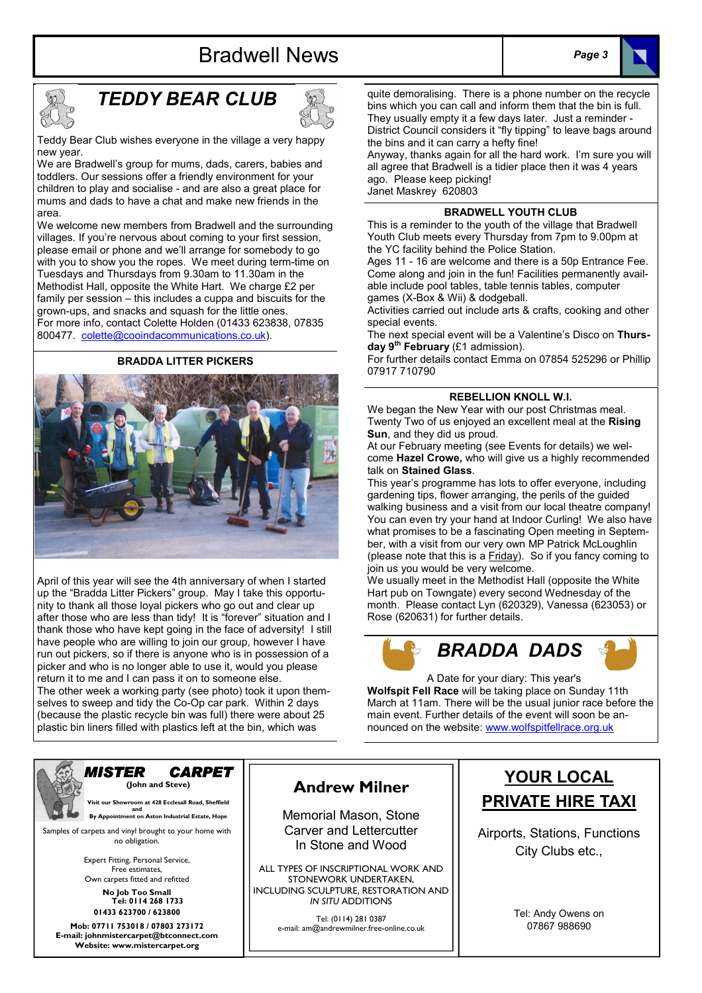



# TEDDY BEAR CLUB



Teddy Bear Club wishes everyone in the village a very happy new year.

We are Bradwell's group for mums, dads, carers, babies and toddlers. Our sessions offer a friendly environment for your children to play and socialise - and are also a great place for mums and dads to have a chat and make new friends in the area.

We welcome new members from Bradwell and the surrounding villages. If you're nervous about coming to your first session, please email or phone and we'll arrange for somebody to go with you to show you the ropes. We meet during term-time on Tuesdays and Thursdays from 9.30am to 11.30am in the Methodist Hall, opposite the White Hart. We charge £2 per family per session – this includes a cuppa and biscuits for the grown-ups, and snacks and squash for the little ones. For more info, contact Colette Holden (01433 623838, 07835 800477. colette@cooindacommunications.co.uk).

#### BRADDA LITTER PICKERS



April of this year will see the 4th anniversary of when I started up the "Bradda Litter Pickers" group. May I take this opportunity to thank all those loyal pickers who go out and clear up after those who are less than tidy! It is "forever" situation and I thank those who have kept going in the face of adversity! I still have people who are willing to join our group, however I have run out pickers, so if there is anyone who is in possession of a picker and who is no longer able to use it, would you please return it to me and I can pass it on to someone else. The other week a working party (see photo) took it upon them-

selves to sweep and tidy the Co-Op car park. Within 2 days (because the plastic recycle bin was full) there were about 25 plastic bin liners filled with plastics left at the bin, which was

quite demoralising. There is a phone number on the recycle bins which you can call and inform them that the bin is full. They usually empty it a few days later. Just a reminder - District Council considers it "fly tipping" to leave bags around the bins and it can carry a hefty fine!

Anyway, thanks again for all the hard work. I'm sure you will all agree that Bradwell is a tidier place then it was 4 years ago. Please keep picking! Janet Maskrey 620803

#### BRADWELL YOUTH CLUB

This is a reminder to the youth of the village that Bradwell Youth Club meets every Thursday from 7pm to 9.00pm at the YC facility behind the Police Station.

Ages 11 - 16 are welcome and there is a 50p Entrance Fee. Come along and join in the fun! Facilities permanently available include pool tables, table tennis tables, computer games (X-Box & Wii) & dodgeball.

Activities carried out include arts & crafts, cooking and other special events.

The next special event will be a Valentine's Disco on Thursday  $9^{th}$  February (£1 admission).

For further details contact Emma on 07854 525296 or Phillip 07917 710790

### REBELLION KNOLL W.I.

We began the New Year with our post Christmas meal. Twenty Two of us enjoyed an excellent meal at the Rising Sun, and they did us proud.

At our February meeting (see Events for details) we welcome Hazel Crowe, who will give us a highly recommended talk on Stained Glass.

This year's programme has lots to offer everyone, including gardening tips, flower arranging, the perils of the guided walking business and a visit from our local theatre company! You can even try your hand at Indoor Curling! We also have what promises to be a fascinating Open meeting in September, with a visit from our very own MP Patrick McLoughlin (please note that this is a Friday). So if you fancy coming to join us you would be very welcome.

We usually meet in the Methodist Hall (opposite the White Hart pub on Towngate) every second Wednesday of the month. Please contact Lyn (620329), Vanessa (623053) or Rose (620631) for further details.



A Date for your diary: This year's Wolfspit Fell Race will be taking place on Sunday 11th March at 11am. There will be the usual junior race before the main event. Further details of the event will soon be announced on the website: www.wolfspitfellrace.org.uk



MISTER CARPET (John and Steve)

 Visit our Showroom at 428 Ecclesall Road, Sheffield and<br>By Appointment on Aston Industrial Estate, Hope

Samples of carpets and vinyl brought to your home with no obligation.

> Expert Fitting, Personal Service, Free estimates, Own carpets fitted and refitted

No Job Too Small Tel: 0114 268 1733 01433 623700 / 623800

Mob: 07711 753018 / 07803 273172 E-mail: johnmistercarpet@btconnect.com Website: www.mistercarpet.org

# Andrew Milner

Memorial Mason, Stone Carver and Lettercutter In Stone and Wood

ALL TYPES OF INSCRIPTIONAL WORK AND STONEWORK UNDERTAKEN, INCLUDING SCULPTURE, RESTORATION AND IN SITU ADDITIONS

> Tel: (0114) 281 0387 e-mail: am@andrewmilner.free-online.co.uk

# YOUR LOCAL PRIVATE HIRE TAXI

Airports, Stations, Functions City Clubs etc.,

> Tel: Andy Owens on 07867 988690